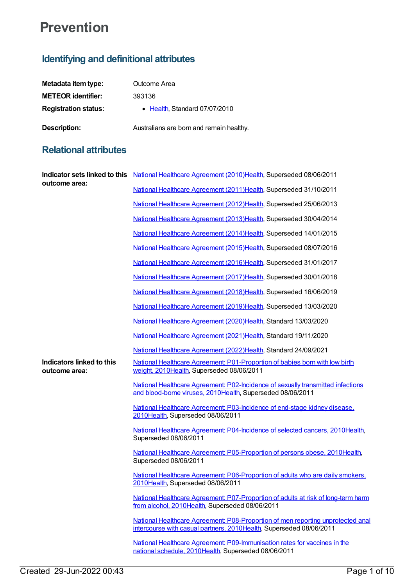## **Prevention**

## **Identifying and definitional attributes**

| Metadata item type:         | Outcome Area                             |
|-----------------------------|------------------------------------------|
| <b>METEOR identifier:</b>   | 393136                                   |
| <b>Registration status:</b> | • Health, Standard 07/07/2010            |
| <b>Description:</b>         | Australians are born and remain healthy. |

## **Relational attributes**

| outcome area:                              | Indicator sets linked to this National Healthcare Agreement (2010) Health, Superseded 08/06/2011                                                       |
|--------------------------------------------|--------------------------------------------------------------------------------------------------------------------------------------------------------|
|                                            | National Healthcare Agreement (2011) Health, Superseded 31/10/2011                                                                                     |
|                                            | National Healthcare Agreement (2012)Health, Superseded 25/06/2013                                                                                      |
|                                            | National Healthcare Agreement (2013) Health, Superseded 30/04/2014                                                                                     |
|                                            | National Healthcare Agreement (2014)Health, Superseded 14/01/2015                                                                                      |
|                                            | National Healthcare Agreement (2015)Health, Superseded 08/07/2016                                                                                      |
|                                            | National Healthcare Agreement (2016)Health, Superseded 31/01/2017                                                                                      |
|                                            | National Healthcare Agreement (2017) Health, Superseded 30/01/2018                                                                                     |
|                                            | National Healthcare Agreement (2018)Health, Superseded 16/06/2019                                                                                      |
|                                            | National Healthcare Agreement (2019)Health, Superseded 13/03/2020                                                                                      |
|                                            | National Healthcare Agreement (2020)Health, Standard 13/03/2020                                                                                        |
|                                            | National Healthcare Agreement (2021)Health, Standard 19/11/2020                                                                                        |
|                                            | National Healthcare Agreement (2022)Health, Standard 24/09/2021                                                                                        |
| Indicators linked to this<br>outcome area: | National Healthcare Agreement: P01-Proportion of babies born with low birth<br>weight, 2010Health, Superseded 08/06/2011                               |
|                                            | National Healthcare Agreement: P02-Incidence of sexually transmitted infections<br>and blood-borne viruses, 2010Health, Superseded 08/06/2011          |
|                                            | National Healthcare Agreement: P03-Incidence of end-stage kidney disease,<br>2010Health, Superseded 08/06/2011                                         |
|                                            | National Healthcare Agreement: P04-Incidence of selected cancers, 2010Health,<br>Superseded 08/06/2011                                                 |
|                                            | National Healthcare Agreement: P05-Proportion of persons obese, 2010Health,<br>Superseded 08/06/2011                                                   |
|                                            | National Healthcare Agreement: P06-Proportion of adults who are daily smokers,<br>2010Health, Superseded 08/06/2011                                    |
|                                            | National Healthcare Agreement: P07-Proportion of adults at risk of long-term harm<br>from alcohol, 2010Health, Superseded 08/06/2011                   |
|                                            | National Healthcare Agreement: P08-Proportion of men reporting unprotected anal<br>intercourse with casual partners, 2010Health, Superseded 08/06/2011 |
|                                            | National Healthcare Agreement: P09-Immunisation rates for vaccines in the<br>national schedule, 2010Health, Superseded 08/06/2011                      |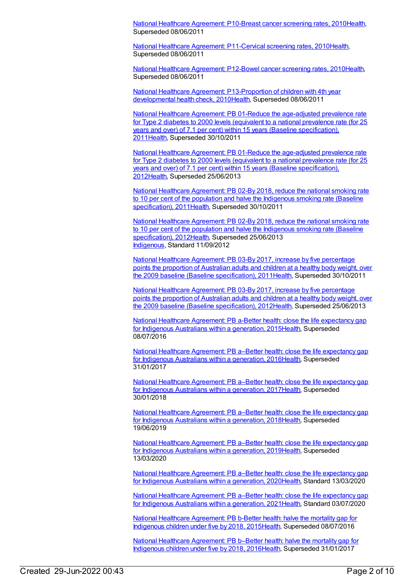National Healthcare [Agreement:](https://meteor.aihw.gov.au/content/394267) P10-Breast cancer screening rates, 201[0Health](https://meteor.aihw.gov.au/RegistrationAuthority/12), Superseded 08/06/2011

National Healthcare Agreement: [P11-Cervical](https://meteor.aihw.gov.au/content/394285) screening rates, 201[0Health](https://meteor.aihw.gov.au/RegistrationAuthority/12), Superseded 08/06/2011

National Healthcare [Agreement:](https://meteor.aihw.gov.au/content/394292) P12-Bowel cancer screening rates, 2010[Health](https://meteor.aihw.gov.au/RegistrationAuthority/12), Superseded 08/06/2011

National Healthcare Agreement: [P13-Proportion](https://meteor.aihw.gov.au/content/394300) of children with 4th year developmental health check, 201[0Health](https://meteor.aihw.gov.au/RegistrationAuthority/12), Superseded 08/06/2011

National Healthcare Agreement: PB 01-Reduce the age-adjusted prevalence rate for Type 2 diabetes to 2000 levels (equivalent to a national prevalence rate (for 25 years and over) of 7.1 per cent) within 15 years (Baseline [specification\),](https://meteor.aihw.gov.au/content/428917) 201[1Health](https://meteor.aihw.gov.au/RegistrationAuthority/12), Superseded 30/10/2011

National Healthcare Agreement: PB 01-Reduce the age-adjusted prevalence rate for Type 2 diabetes to 2000 levels (equivalent to a national prevalence rate (for 25 years and over) of 7.1 per cent) within 15 years (Baseline [specification\),](https://meteor.aihw.gov.au/content/435807) 201[2Health](https://meteor.aihw.gov.au/RegistrationAuthority/12), Superseded 25/06/2013

National Healthcare Agreement: PB 02-By 2018, reduce the national smoking rate to 10 per cent of the population and halve the Indigenous smoking rate (Baseline [specification\),](https://meteor.aihw.gov.au/content/428921) 201[1Health](https://meteor.aihw.gov.au/RegistrationAuthority/12), Superseded 30/10/2011

National Healthcare Agreement: PB 02-By 2018, reduce the national smoking rate to 10 per cent of the population and halve the Indigenous smoking rate (Baseline [specification\),](https://meteor.aihw.gov.au/content/435809) 201[2Health](https://meteor.aihw.gov.au/RegistrationAuthority/12), Superseded 25/06/2013 [Indigenous](https://meteor.aihw.gov.au/RegistrationAuthority/6), Standard 11/09/2012

National Healthcare [Agreement:](https://meteor.aihw.gov.au/content/428946) PB 03-By 2017, increase by five percentage points the proportion of Australian adults and children at a healthy body weight, over the 2009 baseline (Baseline specification), 2011 Health, Superseded 30/10/2011

National Healthcare Agreement: PB 03-By 2017, increase by five percentage points the proportion of Australian adults and children at a healthy body weight, over the 2009 baseline (Baseline [specification\),](https://meteor.aihw.gov.au/content/435818) 201[2Health](https://meteor.aihw.gov.au/RegistrationAuthority/12), Superseded 25/06/2013

National Healthcare [Agreement:](https://meteor.aihw.gov.au/content/559081) PB a-Better health: close the life expectancy gap for Indigenous Australians within a generation, 2015 Health, Superseded 08/07/2016

National Healthcare [Agreement:](https://meteor.aihw.gov.au/content/598862) PB a–Better health: close the life expectancy gap for Indigenous Australians within a generation, 201[6Health](https://meteor.aihw.gov.au/RegistrationAuthority/12), Superseded 31/01/2017

National Healthcare [Agreement:](https://meteor.aihw.gov.au/content/629966) PB a-Better health: close the life expectancy gap for Indigenous Australians within a generation, 2017 Health, Superseded 30/01/2018

National Healthcare [Agreement:](https://meteor.aihw.gov.au/content/658548) PB a–Better health: close the life expectancy gap for Indigenous Australians within a generation, 201[8Health](https://meteor.aihw.gov.au/RegistrationAuthority/12), Superseded 19/06/2019

National Healthcare [Agreement:](https://meteor.aihw.gov.au/content/698952) PB a-Better health: close the life expectancy gap for Indigenous Australians within a generation, 201[9Health](https://meteor.aihw.gov.au/RegistrationAuthority/12), Superseded 13/03/2020

National Healthcare [Agreement:](https://meteor.aihw.gov.au/content/716254) PB a–Better health: close the life expectancy gap for Indigenous Australians within a generation, 202[0Health](https://meteor.aihw.gov.au/RegistrationAuthority/12), Standard 13/03/2020

National Healthcare [Agreement:](https://meteor.aihw.gov.au/content/725842) PB a–Better health: close the life expectancy gap for Indigenous Australians within a generation, 202[1Health](https://meteor.aihw.gov.au/RegistrationAuthority/12), Standard 03/07/2020

National Healthcare [Agreement:](https://meteor.aihw.gov.au/content/559079) PB b-Better health: halve the mortality gap for Indigenous children under five by 2018, 2015[Health](https://meteor.aihw.gov.au/RegistrationAuthority/12), Superseded 08/07/2016

National Healthcare [Agreement:](https://meteor.aihw.gov.au/content/598860) PB b–Better health: halve the mortality gap for Indigenous children under five by 2018, 2016[Health](https://meteor.aihw.gov.au/RegistrationAuthority/12), Superseded 31/01/2017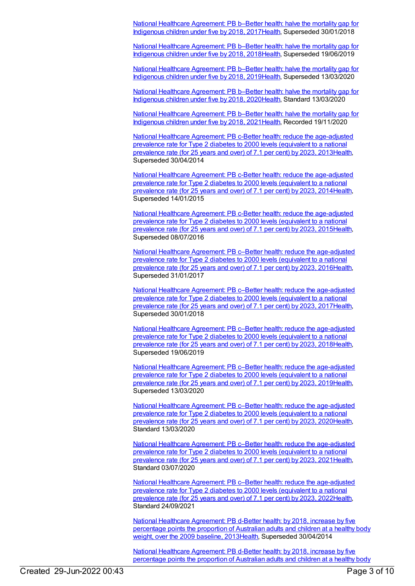National Healthcare [Agreement:](https://meteor.aihw.gov.au/content/629970) PB b–Better health: halve the mortality gap for Indigenous children under five by 2018, 2017[Health](https://meteor.aihw.gov.au/RegistrationAuthority/12), Superseded 30/01/2018

National Healthcare [Agreement:](https://meteor.aihw.gov.au/content/658546) PB b–Better health: halve the mortality gap for Indigenous children under five by 2018, 2018[Health](https://meteor.aihw.gov.au/RegistrationAuthority/12), Superseded 19/06/2019

National Healthcare [Agreement:](https://meteor.aihw.gov.au/content/698950) PB b–Better health: halve the mortality gap for Indigenous children under five by 2018, 2019[Health](https://meteor.aihw.gov.au/RegistrationAuthority/12), Superseded 13/03/2020

National Healthcare [Agreement:](https://meteor.aihw.gov.au/content/716256) PB b–Better health: halve the mortality gap for Indigenous children under five by 2018, 2020[Health](https://meteor.aihw.gov.au/RegistrationAuthority/12), Standard 13/03/2020

National Healthcare [Agreement:](https://meteor.aihw.gov.au/content/725840) PB b–Better health: halve the mortality gap for Indigenous children under five by 2018, 2021[Health](https://meteor.aihw.gov.au/RegistrationAuthority/12), Recorded 19/11/2020

National Healthcare Agreement: PB c-Better health: reduce the [age-adjusted](https://meteor.aihw.gov.au/content/498350) prevalence rate for Type 2 diabetes to 2000 levels (equivalent to a national prevalence rate (for 25 years and over) of 7.1 per cent) by 2023, 201[3Health](https://meteor.aihw.gov.au/RegistrationAuthority/12), Superseded 30/04/2014

National Healthcare Agreement: PB c-Better health: reduce the [age-adjusted](https://meteor.aihw.gov.au/content/517699) prevalence rate for Type 2 diabetes to 2000 levels (equivalent to a national prevalence rate (for 25 years and over) of 7.1 per cent) by 2023, 201[4Health](https://meteor.aihw.gov.au/RegistrationAuthority/12), Superseded 14/01/2015

National Healthcare Agreement: PB c-Better health: reduce the [age-adjusted](https://meteor.aihw.gov.au/content/559077) prevalence rate for Type 2 diabetes to 2000 levels (equivalent to a national prevalence rate (for 25 years and over) of 7.1 per cent) by 2023, 201[5Health](https://meteor.aihw.gov.au/RegistrationAuthority/12), Superseded 08/07/2016

National Healthcare Agreement: PB c–Better health: reduce the [age-adjusted](https://meteor.aihw.gov.au/content/598858) prevalence rate for Type 2 diabetes to 2000 levels (equivalent to a national prevalence rate (for 25 years and over) of 7.1 per cent) by 2023, 201[6Health](https://meteor.aihw.gov.au/RegistrationAuthority/12), Superseded 31/01/2017

National Healthcare Agreement: PB c-Better health: reduce the [age-adjusted](https://meteor.aihw.gov.au/content/629972) prevalence rate for Type 2 diabetes to 2000 levels (equivalent to a national prevalence rate (for 25 years and over) of 7.1 per cent) by 2023, 201[7Health](https://meteor.aihw.gov.au/RegistrationAuthority/12), Superseded 30/01/2018

National Healthcare Agreement: PB c-Better health: reduce the [age-adjusted](https://meteor.aihw.gov.au/content/658544) prevalence rate for Type 2 diabetes to 2000 levels (equivalent to a national prevalence rate (for 25 years and over) of 7.1 per cent) by 2023, 201[8Health](https://meteor.aihw.gov.au/RegistrationAuthority/12), Superseded 19/06/2019

National Healthcare Agreement: PB c–Better health: reduce the [age-adjusted](https://meteor.aihw.gov.au/content/698948) prevalence rate for Type 2 diabetes to 2000 levels (equivalent to a national prevalence rate (for 25 years and over) of 7.1 per cent) by 2023, 201[9Health](https://meteor.aihw.gov.au/RegistrationAuthority/12), Superseded 13/03/2020

National Healthcare Agreement: PB c-Better health: reduce the [age-adjusted](https://meteor.aihw.gov.au/content/716258) prevalence rate for Type 2 diabetes to 2000 levels (equivalent to a national prevalence rate (for 25 years and over) of 7.1 per cent) by 2023, 202[0Health](https://meteor.aihw.gov.au/RegistrationAuthority/12), Standard 13/03/2020

National Healthcare Agreement: PB c–Better health: reduce the [age-adjusted](https://meteor.aihw.gov.au/content/725838) prevalence rate for Type 2 diabetes to 2000 levels (equivalent to a national prevalence rate (for 25 years and over) of 7.1 per cent) by 2023, 202[1Health](https://meteor.aihw.gov.au/RegistrationAuthority/12), Standard 03/07/2020

National Healthcare Agreement: PB c–Better health: reduce the [age-adjusted](https://meteor.aihw.gov.au/content/740904) prevalence rate for Type 2 diabetes to 2000 levels (equivalent to a national prevalence rate (for 25 years and over) of 7.1 per cent) by 2023, 202[2Health](https://meteor.aihw.gov.au/RegistrationAuthority/12), Standard 24/09/2021

National Healthcare [Agreement:](https://meteor.aihw.gov.au/content/498348) PB d-Better health: by 2018, increase by five percentage points the proportion of Australian adults and children at a healthy body weight, over the 2009 baseline, 201[3Health](https://meteor.aihw.gov.au/RegistrationAuthority/12), Superseded 30/04/2014

National Healthcare [Agreement:](https://meteor.aihw.gov.au/content/517696) PB d-Better health: by 2018, increase by five percentage points the proportion of Australian adults and children at a healthy body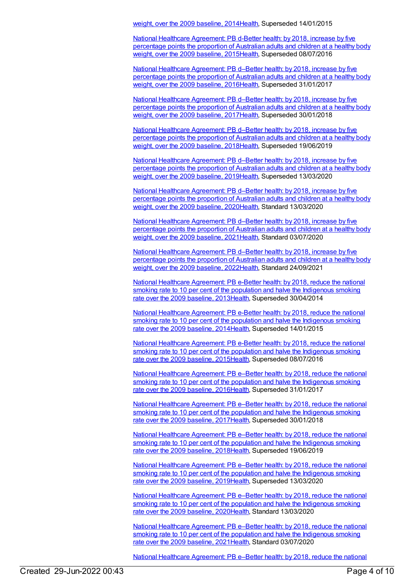weight, over the 2009 baseline, 201[4Health](https://meteor.aihw.gov.au/RegistrationAuthority/12), Superseded 14/01/2015

National Healthcare [Agreement:](https://meteor.aihw.gov.au/content/559074) PB d-Better health: by 2018, increase by five percentage points the proportion of Australian adults and children at a healthy body weight, over the 2009 baseline, 201[5Health](https://meteor.aihw.gov.au/RegistrationAuthority/12), Superseded 08/07/2016

National Healthcare [Agreement:](https://meteor.aihw.gov.au/content/598856) PB d–Better health: by 2018, increase by five percentage points the proportion of Australian adults and children at a healthy body weight, over the 2009 baseline, 201[6Health](https://meteor.aihw.gov.au/RegistrationAuthority/12), Superseded 31/01/2017

National Healthcare [Agreement:](https://meteor.aihw.gov.au/content/629974) PB d–Better health: by 2018, increase by five percentage points the proportion of Australian adults and children at a healthy body weight, over the 2009 baseline, 201[7Health](https://meteor.aihw.gov.au/RegistrationAuthority/12), Superseded 30/01/2018

National Healthcare [Agreement:](https://meteor.aihw.gov.au/content/658542) PB d–Better health: by 2018, increase by five percentage points the proportion of Australian adults and children at a healthy body weight, over the 2009 baseline, 201[8Health](https://meteor.aihw.gov.au/RegistrationAuthority/12), Superseded 19/06/2019

National Healthcare [Agreement:](https://meteor.aihw.gov.au/content/698946) PB d–Better health: by 2018, increase by five percentage points the proportion of Australian adults and children at a healthy body weight, over the 2009 baseline, 201[9Health](https://meteor.aihw.gov.au/RegistrationAuthority/12), Superseded 13/03/2020

National Healthcare [Agreement:](https://meteor.aihw.gov.au/content/716260) PB d–Better health: by 2018, increase by five percentage points the proportion of Australian adults and children at a healthy body weight, over the 2009 baseline, 202[0Health](https://meteor.aihw.gov.au/RegistrationAuthority/12), Standard 13/03/2020

National Healthcare [Agreement:](https://meteor.aihw.gov.au/content/725836) PB d-Better health: by 2018, increase by five percentage points the proportion of Australian adults and children at a healthy body weight, over the 2009 baseline, 202[1Health](https://meteor.aihw.gov.au/RegistrationAuthority/12), Standard 03/07/2020

National Healthcare [Agreement:](https://meteor.aihw.gov.au/content/740902) PB d–Better health: by 2018, increase by five percentage points the proportion of Australian adults and children at a healthy body weight, over the 2009 baseline, 202[2Health](https://meteor.aihw.gov.au/RegistrationAuthority/12), Standard 24/09/2021

National Healthcare [Agreement:](https://meteor.aihw.gov.au/content/498345) PB e-Better health: by 2018, reduce the national smoking rate to 10 per cent of the population and halve the Indigenous smoking rate over the 2009 baseline, 2013[Health](https://meteor.aihw.gov.au/RegistrationAuthority/12), Superseded 30/04/2014

National Healthcare [Agreement:](https://meteor.aihw.gov.au/content/517694) PB e-Better health: by 2018, reduce the national smoking rate to 10 per cent of the population and halve the Indigenous smoking rate over the 2009 baseline, 2014[Health](https://meteor.aihw.gov.au/RegistrationAuthority/12), Superseded 14/01/2015

National Healthcare [Agreement:](https://meteor.aihw.gov.au/content/559072) PB e-Better health: by 2018, reduce the national smoking rate to 10 per cent of the population and halve the Indigenous smoking rate over the 2009 baseline, 2015[Health](https://meteor.aihw.gov.au/RegistrationAuthority/12), Superseded 08/07/2016

National Healthcare [Agreement:](https://meteor.aihw.gov.au/content/598853) PB e–Better health: by 2018, reduce the national smoking rate to 10 per cent of the population and halve the Indigenous smoking rate over the 2009 baseline, 2016[Health](https://meteor.aihw.gov.au/RegistrationAuthority/12), Superseded 31/01/2017

National Healthcare [Agreement:](https://meteor.aihw.gov.au/content/629977) PB e–Better health: by 2018, reduce the national smoking rate to 10 per cent of the population and halve the Indigenous smoking rate over the 2009 baseline, 2017[Health](https://meteor.aihw.gov.au/RegistrationAuthority/12), Superseded 30/01/2018

National Healthcare [Agreement:](https://meteor.aihw.gov.au/content/658540) PB e–Better health: by 2018, reduce the national smoking rate to 10 per cent of the population and halve the Indigenous smoking rate over the 2009 baseline, 2018[Health](https://meteor.aihw.gov.au/RegistrationAuthority/12), Superseded 19/06/2019

National Healthcare [Agreement:](https://meteor.aihw.gov.au/content/698944) PB e–Better health: by 2018, reduce the national smoking rate to 10 per cent of the population and halve the Indigenous smoking rate over the 2009 baseline, 2019[Health](https://meteor.aihw.gov.au/RegistrationAuthority/12), Superseded 13/03/2020

National Healthcare [Agreement:](https://meteor.aihw.gov.au/content/716263) PB e–Better health: by 2018, reduce the national smoking rate to 10 per cent of the population and halve the Indigenous smoking rate over the 2009 baseline, 2020[Health](https://meteor.aihw.gov.au/RegistrationAuthority/12), Standard 13/03/2020

National Healthcare [Agreement:](https://meteor.aihw.gov.au/content/725834) PB e–Better health: by 2018, reduce the national smoking rate to 10 per cent of the population and halve the Indigenous smoking rate over the 2009 baseline, 2021[Health](https://meteor.aihw.gov.au/RegistrationAuthority/12), Standard 03/07/2020

National Healthcare Agreement: PB e–Better health: by 2018, reduce the national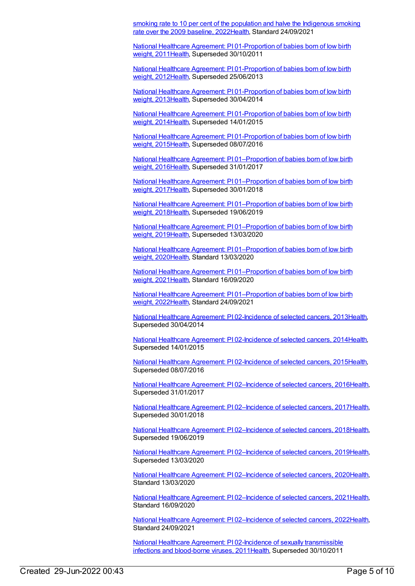smoking rate to 10 per cent of the population and halve the Indigenous smoking rate over the 2009 baseline, [2022Health,](https://meteor.aihw.gov.au/content/740900) Standard 24/09/2021

National Healthcare Agreement: PI [01-Proportion](https://meteor.aihw.gov.au/content/420072) of babies born of low birth weight, 201[1Health,](https://meteor.aihw.gov.au/RegistrationAuthority/12) Superseded 30/10/2011

National Healthcare Agreement: PI [01-Proportion](https://meteor.aihw.gov.au/content/435834) of babies born of low birth weight, 201[2Health,](https://meteor.aihw.gov.au/RegistrationAuthority/12) Superseded 25/06/2013

National Healthcare Agreement: PI [01-Proportion](https://meteor.aihw.gov.au/content/498209) of babies born of low birth weight, 201[3Health,](https://meteor.aihw.gov.au/RegistrationAuthority/12) Superseded 30/04/2014

National Healthcare Agreement: PI [01-Proportion](https://meteor.aihw.gov.au/content/517688) of babies born of low birth weight, 201[4Health,](https://meteor.aihw.gov.au/RegistrationAuthority/12) Superseded 14/01/2015

National Healthcare Agreement: PI [01-Proportion](https://meteor.aihw.gov.au/content/559066) of babies born of low birth weight, 201[5Health,](https://meteor.aihw.gov.au/RegistrationAuthority/12) Superseded 08/07/2016

National Healthcare Agreement: PI [01–Proportion](https://meteor.aihw.gov.au/content/598847) of babies born of low birth weight, 201[6Health,](https://meteor.aihw.gov.au/RegistrationAuthority/12) Superseded 31/01/2017

National Healthcare Agreement: PI [01–Proportion](https://meteor.aihw.gov.au/content/629984) of babies born of low birth weight, 201[7Health,](https://meteor.aihw.gov.au/RegistrationAuthority/12) Superseded 30/01/2018

National Healthcare Agreement: PI [01–Proportion](https://meteor.aihw.gov.au/content/658534) of babies born of low birth weight, 201[8Health,](https://meteor.aihw.gov.au/RegistrationAuthority/12) Superseded 19/06/2019

National Healthcare Agreement: PI [01–Proportion](https://meteor.aihw.gov.au/content/698938) of babies born of low birth weight, 201[9Health,](https://meteor.aihw.gov.au/RegistrationAuthority/12) Superseded 13/03/2020

National Healthcare Agreement: PI [01–Proportion](https://meteor.aihw.gov.au/content/716248) of babies born of low birth weight, 202[0Health,](https://meteor.aihw.gov.au/RegistrationAuthority/12) Standard 13/03/2020

National Healthcare Agreement: PI [01–Proportion](https://meteor.aihw.gov.au/content/725828) of babies born of low birth weight, 202[1Health,](https://meteor.aihw.gov.au/RegistrationAuthority/12) Standard 16/09/2020

National Healthcare Agreement: PI [01–Proportion](https://meteor.aihw.gov.au/content/740894) of babies born of low birth weight, 202[2Health,](https://meteor.aihw.gov.au/RegistrationAuthority/12) Standard 24/09/2021

National Healthcare Agreement: PI [02-Incidence](https://meteor.aihw.gov.au/content/498207) of selected cancers, 201[3Health](https://meteor.aihw.gov.au/RegistrationAuthority/12), Superseded 30/04/2014

National Healthcare Agreement: PI [02-Incidence](https://meteor.aihw.gov.au/content/517686) of selected cancers, 201[4Health](https://meteor.aihw.gov.au/RegistrationAuthority/12), Superseded 14/01/2015

National Healthcare Agreement: PI [02-Incidence](https://meteor.aihw.gov.au/content/559064) of selected cancers, 201[5Health](https://meteor.aihw.gov.au/RegistrationAuthority/12), Superseded 08/07/2016

National Healthcare Agreement: PI [02–Incidence](https://meteor.aihw.gov.au/content/598845) of selected cancers, 201[6Health](https://meteor.aihw.gov.au/RegistrationAuthority/12), Superseded 31/01/2017

National Healthcare Agreement: PI [02–Incidence](https://meteor.aihw.gov.au/content/630224) of selected cancers, 201[7Health](https://meteor.aihw.gov.au/RegistrationAuthority/12), Superseded 30/01/2018

National Healthcare Agreement: PI [02–Incidence](https://meteor.aihw.gov.au/content/658532) of selected cancers, 201[8Health](https://meteor.aihw.gov.au/RegistrationAuthority/12), Superseded 19/06/2019

National Healthcare Agreement: PI [02–Incidence](https://meteor.aihw.gov.au/content/698936) of selected cancers, 201[9Health](https://meteor.aihw.gov.au/RegistrationAuthority/12), Superseded 13/03/2020

National Healthcare Agreement: PI 02-Incidence of selected cancers, 202[0Health](https://meteor.aihw.gov.au/RegistrationAuthority/12), Standard 13/03/2020

National Healthcare Agreement: PI [02–Incidence](https://meteor.aihw.gov.au/content/725826) of selected cancers, 202[1Health](https://meteor.aihw.gov.au/RegistrationAuthority/12), Standard 16/09/2020

National Healthcare Agreement: PI [02–Incidence](https://meteor.aihw.gov.au/content/740892) of selected cancers, 202[2Health](https://meteor.aihw.gov.au/RegistrationAuthority/12), Standard 24/09/2021

National Healthcare Agreement: PI 02-Incidence of sexually [transmissible](https://meteor.aihw.gov.au/content/421697) infections and blood-borne viruses, 201[1Health](https://meteor.aihw.gov.au/RegistrationAuthority/12), Superseded 30/10/2011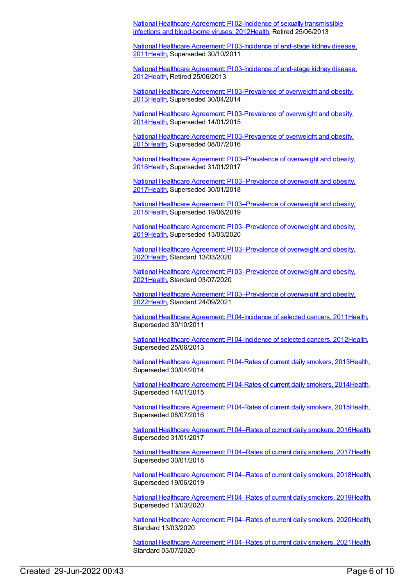National Healthcare Agreement: PI 02-Incidence of sexually [transmissible](https://meteor.aihw.gov.au/content/435959) infections and blood-borne viruses, 201[2Health](https://meteor.aihw.gov.au/RegistrationAuthority/12), Retired 25/06/2013

National Healthcare Agreement: PI [03-Incidence](https://meteor.aihw.gov.au/content/421695) of end-stage kidney disease, 201[1Health](https://meteor.aihw.gov.au/RegistrationAuthority/12), Superseded 30/10/2011

National Healthcare Agreement: PI [03-Incidence](https://meteor.aihw.gov.au/content/435837) of end-stage kidney disease, 201[2Health](https://meteor.aihw.gov.au/RegistrationAuthority/12), Retired 25/06/2013

National Healthcare Agreement: PI [03-Prevalence](https://meteor.aihw.gov.au/content/498205) of overweight and obesity, 201[3Health](https://meteor.aihw.gov.au/RegistrationAuthority/12), Superseded 30/04/2014

National Healthcare Agreement: PI [03-Prevalence](https://meteor.aihw.gov.au/content/517683) of overweight and obesity, 201[4Health](https://meteor.aihw.gov.au/RegistrationAuthority/12), Superseded 14/01/2015

National Healthcare Agreement: PI [03-Prevalence](https://meteor.aihw.gov.au/content/559062) of overweight and obesity, 201[5Health](https://meteor.aihw.gov.au/RegistrationAuthority/12), Superseded 08/07/2016

National Healthcare Agreement: PI [03–Prevalence](https://meteor.aihw.gov.au/content/598843) of overweight and obesity, 201[6Health](https://meteor.aihw.gov.au/RegistrationAuthority/12), Superseded 31/01/2017

National Healthcare Agreement: PI [03–Prevalence](https://meteor.aihw.gov.au/content/629989) of overweight and obesity, 201[7Health](https://meteor.aihw.gov.au/RegistrationAuthority/12), Superseded 30/01/2018

National Healthcare Agreement: PI [03–Prevalence](https://meteor.aihw.gov.au/content/658530) of overweight and obesity, 201[8Health](https://meteor.aihw.gov.au/RegistrationAuthority/12), Superseded 19/06/2019

National Healthcare Agreement: PI [03–Prevalence](https://meteor.aihw.gov.au/content/698934) of overweight and obesity, 201[9Health](https://meteor.aihw.gov.au/RegistrationAuthority/12), Superseded 13/03/2020

National Healthcare Agreement: PI [03–Prevalence](https://meteor.aihw.gov.au/content/716275) of overweight and obesity, 202[0Health](https://meteor.aihw.gov.au/RegistrationAuthority/12), Standard 13/03/2020

National Healthcare Agreement: PI [03–Prevalence](https://meteor.aihw.gov.au/content/725824) of overweight and obesity, 202[1Health](https://meteor.aihw.gov.au/RegistrationAuthority/12), Standard 03/07/2020

National Healthcare Agreement: PI [03–Prevalence](https://meteor.aihw.gov.au/content/740890) of overweight and obesity, 202[2Health](https://meteor.aihw.gov.au/RegistrationAuthority/12), Standard 24/09/2021

National Healthcare Agreement: PI [04-Incidence](https://meteor.aihw.gov.au/content/421693) of selected cancers, 201[1Health](https://meteor.aihw.gov.au/RegistrationAuthority/12), Superseded 30/10/2011

National Healthcare Agreement: PI [04-Incidence](https://meteor.aihw.gov.au/content/435839) of selected cancers, 201[2Health](https://meteor.aihw.gov.au/RegistrationAuthority/12), Superseded 25/06/2013

National Healthcare [Agreement:](https://meteor.aihw.gov.au/content/498203) PI 04-Rates of current daily smokers, 201[3Health](https://meteor.aihw.gov.au/RegistrationAuthority/12), Superseded 30/04/2014

National Healthcare [Agreement:](https://meteor.aihw.gov.au/content/517681) PI 04-Rates of current daily smokers, 201[4Health](https://meteor.aihw.gov.au/RegistrationAuthority/12), Superseded 14/01/2015

National Healthcare [Agreement:](https://meteor.aihw.gov.au/content/559060) PI 04-Rates of current daily smokers, 201[5Health](https://meteor.aihw.gov.au/RegistrationAuthority/12), Superseded 08/07/2016

National Healthcare [Agreement:](https://meteor.aihw.gov.au/content/598841) PI 04–Rates of current daily smokers, 2016[Health](https://meteor.aihw.gov.au/RegistrationAuthority/12), Superseded 31/01/2017

National Healthcare [Agreement:](https://meteor.aihw.gov.au/content/629992) PI 04–Rates of current daily smokers, 2017[Health](https://meteor.aihw.gov.au/RegistrationAuthority/12), Superseded 30/01/2018

National Healthcare [Agreement:](https://meteor.aihw.gov.au/content/658527) PI 04–Rates of current daily smokers, 2018[Health](https://meteor.aihw.gov.au/RegistrationAuthority/12), Superseded 19/06/2019

National Healthcare [Agreement:](https://meteor.aihw.gov.au/content/698932) PI 04–Rates of current daily smokers, 2019[Health](https://meteor.aihw.gov.au/RegistrationAuthority/12), Superseded 13/03/2020

National Healthcare [Agreement:](https://meteor.aihw.gov.au/content/716279) PI 04–Rates of current daily smokers, 2020[Health](https://meteor.aihw.gov.au/RegistrationAuthority/12), Standard 13/03/2020

National Healthcare [Agreement:](https://meteor.aihw.gov.au/content/725822) PI 04–Rates of current daily smokers, 2021[Health](https://meteor.aihw.gov.au/RegistrationAuthority/12), Standard 03/07/2020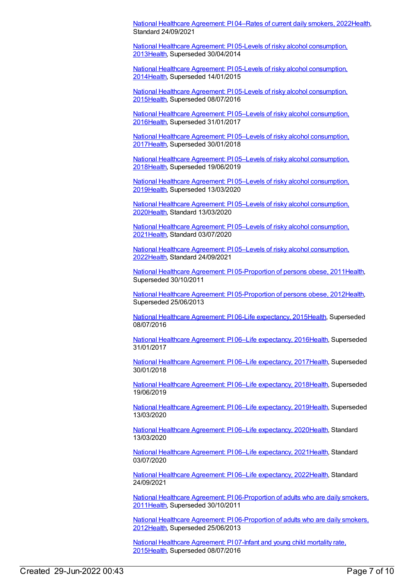National Healthcare [Agreement:](https://meteor.aihw.gov.au/content/740888) PI 04–Rates of current daily smokers, 2022[Health](https://meteor.aihw.gov.au/RegistrationAuthority/12), Standard 24/09/2021

National Healthcare Agreement: PI 05-Levels of risky alcohol [consumption,](https://meteor.aihw.gov.au/content/498201) 201[3Health](https://meteor.aihw.gov.au/RegistrationAuthority/12), Superseded 30/04/2014

National Healthcare Agreement: PI 05-Levels of risky alcohol [consumption,](https://meteor.aihw.gov.au/content/517678) 201[4Health](https://meteor.aihw.gov.au/RegistrationAuthority/12), Superseded 14/01/2015

National Healthcare Agreement: PI 05-Levels of risky alcohol [consumption,](https://meteor.aihw.gov.au/content/559058) 201[5Health](https://meteor.aihw.gov.au/RegistrationAuthority/12), Superseded 08/07/2016

National Healthcare Agreement: PI 05–Levels of risky alcohol [consumption,](https://meteor.aihw.gov.au/content/598839) 201[6Health](https://meteor.aihw.gov.au/RegistrationAuthority/12), Superseded 31/01/2017

National Healthcare Agreement: PI 05–Levels of risky alcohol [consumption,](https://meteor.aihw.gov.au/content/629999) 201[7Health](https://meteor.aihw.gov.au/RegistrationAuthority/12), Superseded 30/01/2018

National Healthcare Agreement: PI 05–Levels of risky alcohol [consumption,](https://meteor.aihw.gov.au/content/658525) 201[8Health](https://meteor.aihw.gov.au/RegistrationAuthority/12), Superseded 19/06/2019

National Healthcare Agreement: PI 05–Levels of risky alcohol [consumption,](https://meteor.aihw.gov.au/content/698930) 201[9Health](https://meteor.aihw.gov.au/RegistrationAuthority/12), Superseded 13/03/2020

National Healthcare Agreement: PI 05–Levels of risky alcohol [consumption,](https://meteor.aihw.gov.au/content/716290) 202[0Health](https://meteor.aihw.gov.au/RegistrationAuthority/12), Standard 13/03/2020

National Healthcare Agreement: PI 05–Levels of risky alcohol [consumption,](https://meteor.aihw.gov.au/content/725820) 202[1Health](https://meteor.aihw.gov.au/RegistrationAuthority/12), Standard 03/07/2020

National Healthcare Agreement: PI 05–Levels of risky alcohol [consumption,](https://meteor.aihw.gov.au/content/740886) 202[2Health](https://meteor.aihw.gov.au/RegistrationAuthority/12), Standard 24/09/2021

National Healthcare Agreement: PI [05-Proportion](https://meteor.aihw.gov.au/content/421691) of persons obese, 2011[Health](https://meteor.aihw.gov.au/RegistrationAuthority/12), Superseded 30/10/2011

National Healthcare Agreement: PI [05-Proportion](https://meteor.aihw.gov.au/content/435967) of persons obese, 2012[Health](https://meteor.aihw.gov.au/RegistrationAuthority/12), Superseded 25/06/2013

National Healthcare Agreement: PI 06-Life [expectancy,](https://meteor.aihw.gov.au/content/559056) 2015[Health](https://meteor.aihw.gov.au/RegistrationAuthority/12), Superseded 08/07/2016

National Healthcare Agreement: PI 06–Life [expectancy,](https://meteor.aihw.gov.au/content/598837) 201[6Health](https://meteor.aihw.gov.au/RegistrationAuthority/12), Superseded 31/01/2017

National Healthcare Agreement: PI 06–Life [expectancy,](https://meteor.aihw.gov.au/content/630002) 201[7Health](https://meteor.aihw.gov.au/RegistrationAuthority/12), Superseded 30/01/2018

National Healthcare Agreement: PI 06–Life [expectancy,](https://meteor.aihw.gov.au/content/658523) 201[8Health](https://meteor.aihw.gov.au/RegistrationAuthority/12), Superseded 19/06/2019

National Healthcare Agreement: PI 06–Life [expectancy,](https://meteor.aihw.gov.au/content/698928) 201[9Health](https://meteor.aihw.gov.au/RegistrationAuthority/12), Superseded 13/03/2020

National Healthcare Agreement: PI 06-Life [expectancy,](https://meteor.aihw.gov.au/content/716297) 202[0Health](https://meteor.aihw.gov.au/RegistrationAuthority/12), Standard 13/03/2020

National Healthcare Agreement: PI 06–Life [expectancy,](https://meteor.aihw.gov.au/content/725818) 202[1Health](https://meteor.aihw.gov.au/RegistrationAuthority/12), Standard 03/07/2020

National Healthcare Agreement: PI 06-Life [expectancy,](https://meteor.aihw.gov.au/content/740884) 202[2Health](https://meteor.aihw.gov.au/RegistrationAuthority/12), Standard 24/09/2021

National Healthcare Agreement: PI [06-Proportion](https://meteor.aihw.gov.au/content/421689) of adults who are daily smokers, 201[1Health](https://meteor.aihw.gov.au/RegistrationAuthority/12), Superseded 30/10/2011

National Healthcare Agreement: PI [06-Proportion](https://meteor.aihw.gov.au/content/435974) of adults who are daily smokers, 201[2Health](https://meteor.aihw.gov.au/RegistrationAuthority/12), Superseded 25/06/2013

National Healthcare [Agreement:](https://meteor.aihw.gov.au/content/559054) PI 07-Infant and young child mortality rate, 201[5Health](https://meteor.aihw.gov.au/RegistrationAuthority/12), Superseded 08/07/2016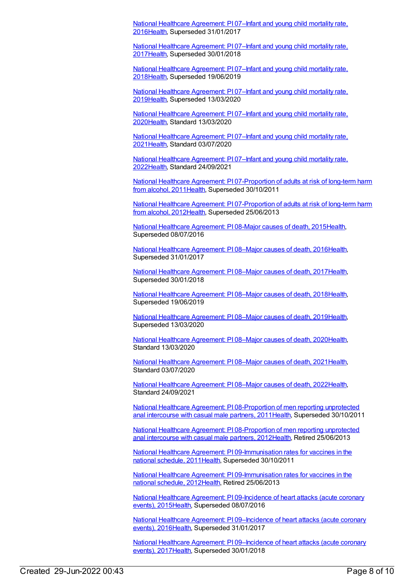National Healthcare [Agreement:](https://meteor.aihw.gov.au/content/598835) PI 07–Infant and young child mortality rate, 201[6Health](https://meteor.aihw.gov.au/RegistrationAuthority/12), Superseded 31/01/2017

National Healthcare [Agreement:](https://meteor.aihw.gov.au/content/630004) PI 07–Infant and young child mortality rate, 201[7Health](https://meteor.aihw.gov.au/RegistrationAuthority/12), Superseded 30/01/2018

National Healthcare [Agreement:](https://meteor.aihw.gov.au/content/658521) PI 07–Infant and young child mortality rate, 201[8Health](https://meteor.aihw.gov.au/RegistrationAuthority/12), Superseded 19/06/2019

National Healthcare [Agreement:](https://meteor.aihw.gov.au/content/698926) PI 07-Infant and young child mortality rate, 201[9Health](https://meteor.aihw.gov.au/RegistrationAuthority/12), Superseded 13/03/2020

National Healthcare [Agreement:](https://meteor.aihw.gov.au/content/716308) PI 07–Infant and young child mortality rate, 202[0Health](https://meteor.aihw.gov.au/RegistrationAuthority/12), Standard 13/03/2020

National Healthcare [Agreement:](https://meteor.aihw.gov.au/content/725815) PI 07–Infant and young child mortality rate, 202[1Health](https://meteor.aihw.gov.au/RegistrationAuthority/12), Standard 03/07/2020

National Healthcare [Agreement:](https://meteor.aihw.gov.au/content/740882) PI 07–Infant and young child mortality rate, 202[2Health](https://meteor.aihw.gov.au/RegistrationAuthority/12), Standard 24/09/2021

National Healthcare Agreement: PI [07-Proportion](https://meteor.aihw.gov.au/content/421687) of adults at risk of long-term harm from alcohol, 2011 [Health](https://meteor.aihw.gov.au/RegistrationAuthority/12), Superseded 30/10/2011

National Healthcare Agreement: PI [07-Proportion](https://meteor.aihw.gov.au/content/435979) of adults at risk of long-term harm from alcohol, 2012[Health](https://meteor.aihw.gov.au/RegistrationAuthority/12), Superseded 25/06/2013

National Healthcare [Agreement:](https://meteor.aihw.gov.au/content/559052) PI 08-Major causes of death, 2015[Health](https://meteor.aihw.gov.au/RegistrationAuthority/12), Superseded 08/07/2016

National Healthcare [Agreement:](https://meteor.aihw.gov.au/content/598815) PI 08–Major causes of death, 201[6Health](https://meteor.aihw.gov.au/RegistrationAuthority/12), Superseded 31/01/2017

National Healthcare [Agreement:](https://meteor.aihw.gov.au/content/630006) PI 08–Major causes of death, 201[7Health](https://meteor.aihw.gov.au/RegistrationAuthority/12), Superseded 30/01/2018

National Healthcare [Agreement:](https://meteor.aihw.gov.au/content/658519) PI 08–Major causes of death, 201[8Health](https://meteor.aihw.gov.au/RegistrationAuthority/12), Superseded 19/06/2019

National Healthcare [Agreement:](https://meteor.aihw.gov.au/content/698924) PI 08–Major causes of death, 201[9Health](https://meteor.aihw.gov.au/RegistrationAuthority/12), Superseded 13/03/2020

National Healthcare [Agreement:](https://meteor.aihw.gov.au/content/716346) PI 08–Major causes of death, 202[0Health](https://meteor.aihw.gov.au/RegistrationAuthority/12), Standard 13/03/2020

National Healthcare [Agreement:](https://meteor.aihw.gov.au/content/725813) PI 08–Major causes of death, 202[1Health](https://meteor.aihw.gov.au/RegistrationAuthority/12), Standard 03/07/2020

National Healthcare [Agreement:](https://meteor.aihw.gov.au/content/740880) PI 08–Major causes of death, 202[2Health](https://meteor.aihw.gov.au/RegistrationAuthority/12), Standard 24/09/2021

National Healthcare Agreement: PI [08-Proportion](https://meteor.aihw.gov.au/content/402398) of men reporting unprotected anal intercourse with casual male partners, 2011 [Health](https://meteor.aihw.gov.au/RegistrationAuthority/12), Superseded 30/10/2011

National Healthcare Agreement: PI [08-Proportion](https://meteor.aihw.gov.au/content/435841) of men reporting unprotected anal intercourse with casual male partners, 2012[Health](https://meteor.aihw.gov.au/RegistrationAuthority/12), Retired 25/06/2013

National Healthcare Agreement: PI [09-Immunisation](https://meteor.aihw.gov.au/content/421684) rates for vaccines in the national schedule, 2011[Health,](https://meteor.aihw.gov.au/RegistrationAuthority/12) Superseded 30/10/2011

National Healthcare Agreement: PI [09-Immunisation](https://meteor.aihw.gov.au/content/436839) rates for vaccines in the national schedule, 2012[Health,](https://meteor.aihw.gov.au/RegistrationAuthority/12) Retired 25/06/2013

National Healthcare Agreement: PI [09-Incidence](https://meteor.aihw.gov.au/content/559050) of heart attacks (acute coronary events), 2015[Health,](https://meteor.aihw.gov.au/RegistrationAuthority/12) Superseded 08/07/2016

National Healthcare Agreement: PI [09–Incidence](https://meteor.aihw.gov.au/content/598799) of heart attacks (acute coronary events), 2016[Health,](https://meteor.aihw.gov.au/RegistrationAuthority/12) Superseded 31/01/2017

National Healthcare Agreement: PI [09–Incidence](https://meteor.aihw.gov.au/content/630008) of heart attacks (acute coronary events), 2017[Health,](https://meteor.aihw.gov.au/RegistrationAuthority/12) Superseded 30/01/2018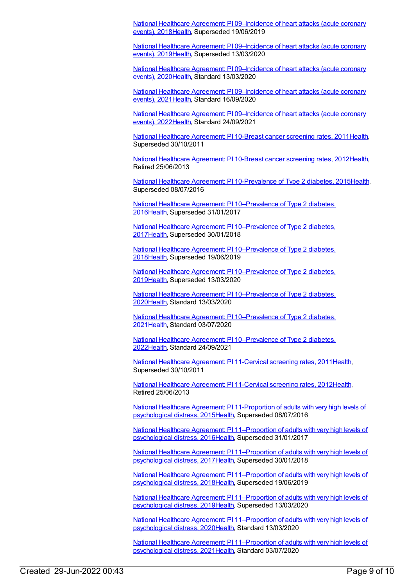National Healthcare Agreement: PI [09–Incidence](https://meteor.aihw.gov.au/content/658517) of heart attacks (acute coronary events), 2018[Health,](https://meteor.aihw.gov.au/RegistrationAuthority/12) Superseded 19/06/2019

National Healthcare Agreement: PI [09–Incidence](https://meteor.aihw.gov.au/content/698922) of heart attacks (acute coronary events), 2019[Health,](https://meteor.aihw.gov.au/RegistrationAuthority/12) Superseded 13/03/2020

National Healthcare Agreement: PI [09–Incidence](https://meteor.aihw.gov.au/content/716355) of heart attacks (acute coronary events), 2020[Health,](https://meteor.aihw.gov.au/RegistrationAuthority/12) Standard 13/03/2020

National Healthcare Agreement: PI [09–Incidence](https://meteor.aihw.gov.au/content/725811) of heart attacks (acute coronary events), 2021[Health,](https://meteor.aihw.gov.au/RegistrationAuthority/12) Standard 16/09/2020

National Healthcare Agreement: PI [09–Incidence](https://meteor.aihw.gov.au/content/740878) of heart attacks (acute coronary events), 2022[Health,](https://meteor.aihw.gov.au/RegistrationAuthority/12) Standard 24/09/2021

National Healthcare [Agreement:](https://meteor.aihw.gov.au/content/421676) PI 10-Breast cancer screening rates, 2011[Health](https://meteor.aihw.gov.au/RegistrationAuthority/12), Superseded 30/10/2011

National Healthcare [Agreement:](https://meteor.aihw.gov.au/content/435843) PI 10-Breast cancer screening rates, 2012[Health](https://meteor.aihw.gov.au/RegistrationAuthority/12), Retired 25/06/2013

National Healthcare Agreement: PI [10-Prevalence](https://meteor.aihw.gov.au/content/559048) of Type 2 diabetes, 201[5Health](https://meteor.aihw.gov.au/RegistrationAuthority/12), Superseded 08/07/2016

National Healthcare Agreement: PI [10–Prevalence](https://meteor.aihw.gov.au/content/598762) of Type 2 diabetes, 201[6Health](https://meteor.aihw.gov.au/RegistrationAuthority/12), Superseded 31/01/2017

National Healthcare Agreement: PI [10–Prevalence](https://meteor.aihw.gov.au/content/630010) of Type 2 diabetes, 201[7Health](https://meteor.aihw.gov.au/RegistrationAuthority/12), Superseded 30/01/2018

National Healthcare Agreement: PI [10–Prevalence](https://meteor.aihw.gov.au/content/658515) of Type 2 diabetes, 201[8Health](https://meteor.aihw.gov.au/RegistrationAuthority/12), Superseded 19/06/2019

National Healthcare Agreement: PI [10–Prevalence](https://meteor.aihw.gov.au/content/698920) of Type 2 diabetes, 201[9Health](https://meteor.aihw.gov.au/RegistrationAuthority/12), Superseded 13/03/2020

National Healthcare Agreement: PI [10–Prevalence](https://meteor.aihw.gov.au/content/716381) of Type 2 diabetes, 202[0Health](https://meteor.aihw.gov.au/RegistrationAuthority/12), Standard 13/03/2020

National Healthcare Agreement: PI [10–Prevalence](https://meteor.aihw.gov.au/content/725809) of Type 2 diabetes, 202[1Health](https://meteor.aihw.gov.au/RegistrationAuthority/12), Standard 03/07/2020

National Healthcare Agreement: PI [10–Prevalence](https://meteor.aihw.gov.au/content/740876) of Type 2 diabetes, 202[2Health](https://meteor.aihw.gov.au/RegistrationAuthority/12), Standard 24/09/2021

National Healthcare [Agreement:](https://meteor.aihw.gov.au/content/421674) PI 11-Cervical screening rates, 2011[Health](https://meteor.aihw.gov.au/RegistrationAuthority/12), Superseded 30/10/2011

National Healthcare [Agreement:](https://meteor.aihw.gov.au/content/435845) PI 11-Cervical screening rates, 2012[Health](https://meteor.aihw.gov.au/RegistrationAuthority/12), Retired 25/06/2013

National Healthcare Agreement: PI [11-Proportion](https://meteor.aihw.gov.au/content/559046) of adults with very high levels of psychological distress, 201[5Health](https://meteor.aihw.gov.au/RegistrationAuthority/12), Superseded 08/07/2016

National Healthcare Agreement: PI [11–Proportion](https://meteor.aihw.gov.au/content/598760) of adults with very high levels of psychological distress, 201[6Health](https://meteor.aihw.gov.au/RegistrationAuthority/12), Superseded 31/01/2017

National Healthcare Agreement: PI [11–Proportion](https://meteor.aihw.gov.au/content/630012) of adults with very high levels of psychological distress, 201[7Health](https://meteor.aihw.gov.au/RegistrationAuthority/12), Superseded 30/01/2018

National Healthcare Agreement: PI [11–Proportion](https://meteor.aihw.gov.au/content/658513) of adults with very high levels of psychological distress, 201[8Health](https://meteor.aihw.gov.au/RegistrationAuthority/12), Superseded 19/06/2019

National Healthcare Agreement: PI [11–Proportion](https://meteor.aihw.gov.au/content/698918) of adults with very high levels of psychological distress, 201[9Health](https://meteor.aihw.gov.au/RegistrationAuthority/12), Superseded 13/03/2020

National Healthcare Agreement: PI [11–Proportion](https://meteor.aihw.gov.au/content/716392) of adults with very high levels of psychological distress, 202[0Health](https://meteor.aihw.gov.au/RegistrationAuthority/12), Standard 13/03/2020

National Healthcare Agreement: PI [11–Proportion](https://meteor.aihw.gov.au/content/725807) of adults with very high levels of psychological distress, 202[1Health](https://meteor.aihw.gov.au/RegistrationAuthority/12), Standard 03/07/2020